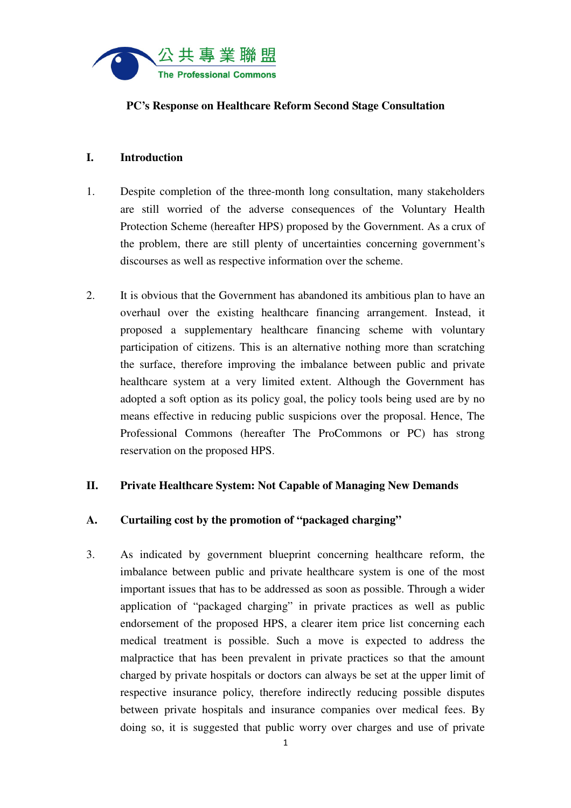

### **PC's Response on Healthcare Reform Second Stage Consultation**

### **I. Introduction**

- 1. Despite completion of the three-month long consultation, many stakeholders are still worried of the adverse consequences of the Voluntary Health Protection Scheme (hereafter HPS) proposed by the Government. As a crux of the problem, there are still plenty of uncertainties concerning government's discourses as well as respective information over the scheme.
- 2. It is obvious that the Government has abandoned its ambitious plan to have an overhaul over the existing healthcare financing arrangement. Instead, it proposed a supplementary healthcare financing scheme with voluntary participation of citizens. This is an alternative nothing more than scratching the surface, therefore improving the imbalance between public and private healthcare system at a very limited extent. Although the Government has adopted a soft option as its policy goal, the policy tools being used are by no means effective in reducing public suspicions over the proposal. Hence, The Professional Commons (hereafter The ProCommons or PC) has strong reservation on the proposed HPS.

## **II. Private Healthcare System: Not Capable of Managing New Demands**

# **A. Curtailing cost by the promotion of "packaged charging"**

3. As indicated by government blueprint concerning healthcare reform, the imbalance between public and private healthcare system is one of the most important issues that has to be addressed as soon as possible. Through a wider application of "packaged charging" in private practices as well as public endorsement of the proposed HPS, a clearer item price list concerning each medical treatment is possible. Such a move is expected to address the malpractice that has been prevalent in private practices so that the amount charged by private hospitals or doctors can always be set at the upper limit of respective insurance policy, therefore indirectly reducing possible disputes between private hospitals and insurance companies over medical fees. By doing so, it is suggested that public worry over charges and use of private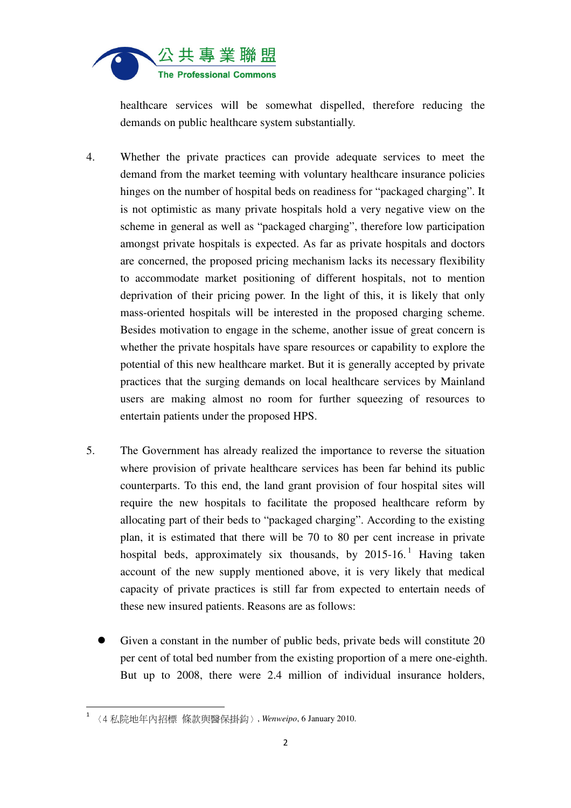

healthcare services will be somewhat dispelled, therefore reducing the demands on public healthcare system substantially.

- 4. Whether the private practices can provide adequate services to meet the demand from the market teeming with voluntary healthcare insurance policies hinges on the number of hospital beds on readiness for "packaged charging". It is not optimistic as many private hospitals hold a very negative view on the scheme in general as well as "packaged charging", therefore low participation amongst private hospitals is expected. As far as private hospitals and doctors are concerned, the proposed pricing mechanism lacks its necessary flexibility to accommodate market positioning of different hospitals, not to mention deprivation of their pricing power. In the light of this, it is likely that only mass-oriented hospitals will be interested in the proposed charging scheme. Besides motivation to engage in the scheme, another issue of great concern is whether the private hospitals have spare resources or capability to explore the potential of this new healthcare market. But it is generally accepted by private practices that the surging demands on local healthcare services by Mainland users are making almost no room for further squeezing of resources to entertain patients under the proposed HPS.
- 5. The Government has already realized the importance to reverse the situation where provision of private healthcare services has been far behind its public counterparts. To this end, the land grant provision of four hospital sites will require the new hospitals to facilitate the proposed healthcare reform by allocating part of their beds to "packaged charging". According to the existing plan, it is estimated that there will be 70 to 80 per cent increase in private hospital beds, approximately six thousands, by  $2015-16$ . Having taken account of the new supply mentioned above, it is very likely that medical capacity of private practices is still far from expected to entertain needs of these new insured patients. Reasons are as follows:
	- Given a constant in the number of public beds, private beds will constitute 20 per cent of total bed number from the existing proportion of a mere one-eighth. But up to 2008, there were 2.4 million of individual insurance holders,

֬֒

<sup>1</sup> 〈4 私院地年內招標 條款與醫保掛鈎〉, *Wenweipo*, 6 January 2010.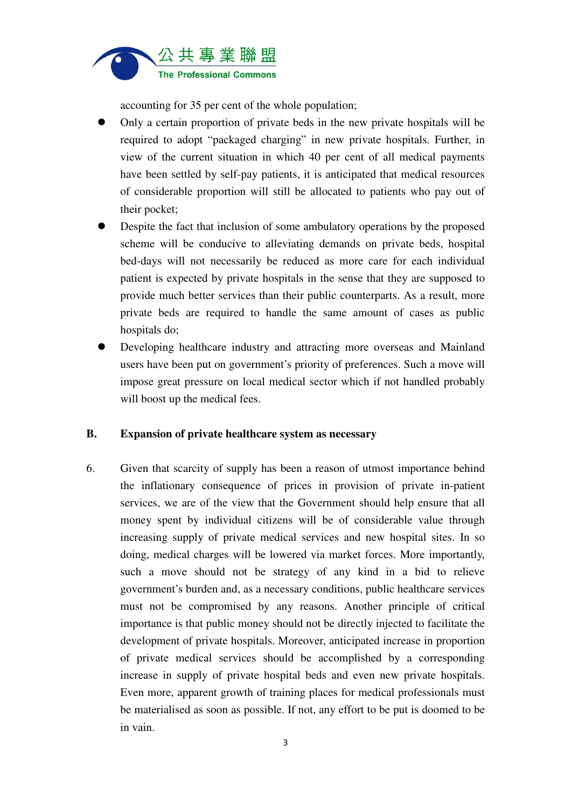

accounting for 35 per cent of the whole population;

- Only a certain proportion of private beds in the new private hospitals will be required to adopt "packaged charging" in new private hospitals. Further, in view of the current situation in which 40 per cent of all medical payments have been settled by self-pay patients, it is anticipated that medical resources of considerable proportion will still be allocated to patients who pay out of their pocket;
- Despite the fact that inclusion of some ambulatory operations by the proposed scheme will be conducive to alleviating demands on private beds, hospital bed-days will not necessarily be reduced as more care for each individual patient is expected by private hospitals in the sense that they are supposed to provide much better services than their public counterparts. As a result, more private beds are required to handle the same amount of cases as public hospitals do;
- Developing healthcare industry and attracting more overseas and Mainland users have been put on government's priority of preferences. Such a move will impose great pressure on local medical sector which if not handled probably will boost up the medical fees.

#### **B. Expansion of private healthcare system as necessary**

6. Given that scarcity of supply has been a reason of utmost importance behind the inflationary consequence of prices in provision of private in-patient services, we are of the view that the Government should help ensure that all money spent by individual citizens will be of considerable value through increasing supply of private medical services and new hospital sites. In so doing, medical charges will be lowered via market forces. More importantly, such a move should not be strategy of any kind in a bid to relieve government's burden and, as a necessary conditions, public healthcare services must not be compromised by any reasons. Another principle of critical importance is that public money should not be directly injected to facilitate the development of private hospitals. Moreover, anticipated increase in proportion of private medical services should be accomplished by a corresponding increase in supply of private hospital beds and even new private hospitals. Even more, apparent growth of training places for medical professionals must be materialised as soon as possible. If not, any effort to be put is doomed to be in vain.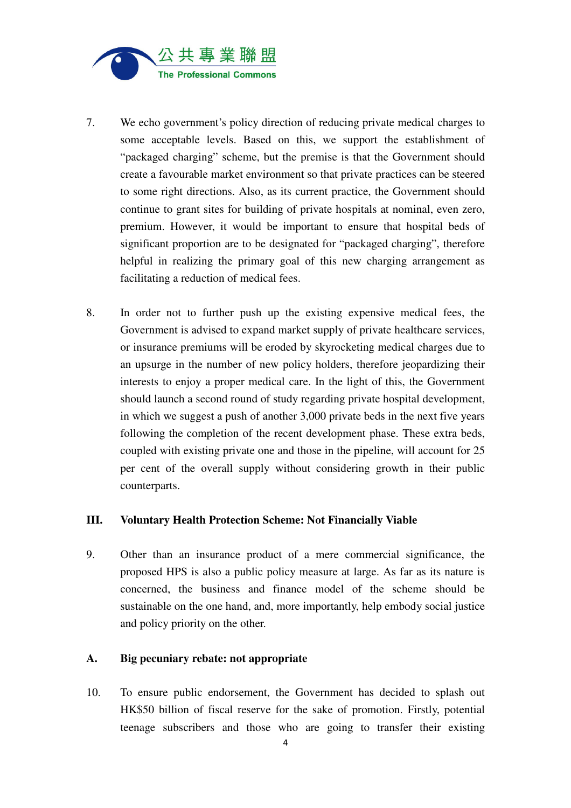

- 7. We echo government's policy direction of reducing private medical charges to some acceptable levels. Based on this, we support the establishment of "packaged charging" scheme, but the premise is that the Government should create a favourable market environment so that private practices can be steered to some right directions. Also, as its current practice, the Government should continue to grant sites for building of private hospitals at nominal, even zero, premium. However, it would be important to ensure that hospital beds of significant proportion are to be designated for "packaged charging", therefore helpful in realizing the primary goal of this new charging arrangement as facilitating a reduction of medical fees.
- 8. In order not to further push up the existing expensive medical fees, the Government is advised to expand market supply of private healthcare services, or insurance premiums will be eroded by skyrocketing medical charges due to an upsurge in the number of new policy holders, therefore jeopardizing their interests to enjoy a proper medical care. In the light of this, the Government should launch a second round of study regarding private hospital development, in which we suggest a push of another 3,000 private beds in the next five years following the completion of the recent development phase. These extra beds, coupled with existing private one and those in the pipeline, will account for 25 per cent of the overall supply without considering growth in their public counterparts.

#### **III. Voluntary Health Protection Scheme: Not Financially Viable**

9. Other than an insurance product of a mere commercial significance, the proposed HPS is also a public policy measure at large. As far as its nature is concerned, the business and finance model of the scheme should be sustainable on the one hand, and, more importantly, help embody social justice and policy priority on the other.

### **A. Big pecuniary rebate: not appropriate**

10. To ensure public endorsement, the Government has decided to splash out HK\$50 billion of fiscal reserve for the sake of promotion. Firstly, potential teenage subscribers and those who are going to transfer their existing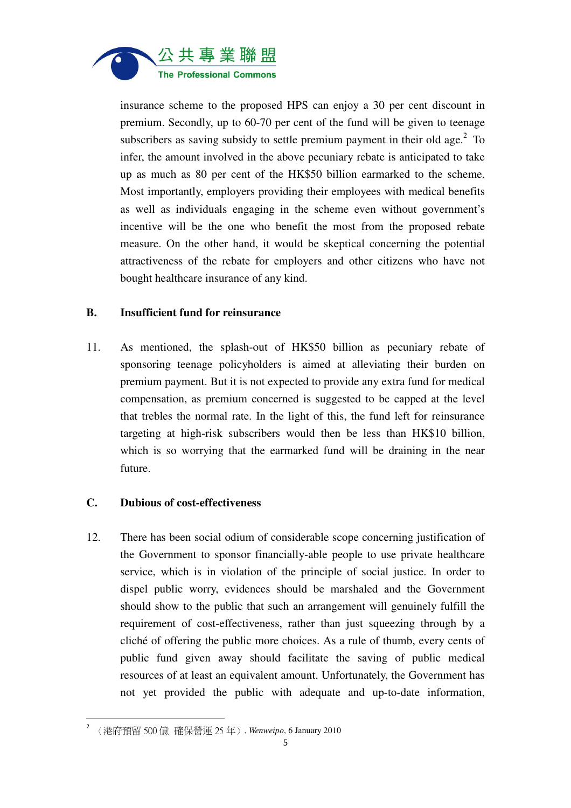

insurance scheme to the proposed HPS can enjoy a 30 per cent discount in premium. Secondly, up to 60-70 per cent of the fund will be given to teenage subscribers as saving subsidy to settle premium payment in their old age. $2$  To infer, the amount involved in the above pecuniary rebate is anticipated to take up as much as 80 per cent of the HK\$50 billion earmarked to the scheme. Most importantly, employers providing their employees with medical benefits as well as individuals engaging in the scheme even without government's incentive will be the one who benefit the most from the proposed rebate measure. On the other hand, it would be skeptical concerning the potential attractiveness of the rebate for employers and other citizens who have not bought healthcare insurance of any kind.

## **B. Insufficient fund for reinsurance**

11. As mentioned, the splash-out of HK\$50 billion as pecuniary rebate of sponsoring teenage policyholders is aimed at alleviating their burden on premium payment. But it is not expected to provide any extra fund for medical compensation, as premium concerned is suggested to be capped at the level that trebles the normal rate. In the light of this, the fund left for reinsurance targeting at high-risk subscribers would then be less than HK\$10 billion, which is so worrying that the earmarked fund will be draining in the near future.

#### **C. Dubious of cost-effectiveness**

12. There has been social odium of considerable scope concerning justification of the Government to sponsor financially-able people to use private healthcare service, which is in violation of the principle of social justice. In order to dispel public worry, evidences should be marshaled and the Government should show to the public that such an arrangement will genuinely fulfill the requirement of cost-effectiveness, rather than just squeezing through by a cliché of offering the public more choices. As a rule of thumb, every cents of public fund given away should facilitate the saving of public medical resources of at least an equivalent amount. Unfortunately, the Government has not yet provided the public with adequate and up-to-date information,

 $\overline{a}$ 

<sup>2</sup> 〈港府預留 500 億 確保營運 25 年〉, *Wenweipo*, 6 January 2010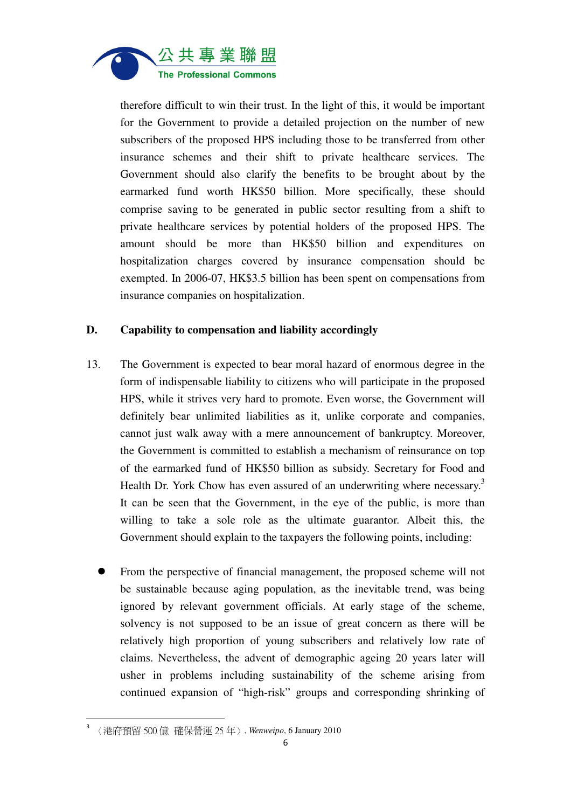

therefore difficult to win their trust. In the light of this, it would be important for the Government to provide a detailed projection on the number of new subscribers of the proposed HPS including those to be transferred from other insurance schemes and their shift to private healthcare services. The Government should also clarify the benefits to be brought about by the earmarked fund worth HK\$50 billion. More specifically, these should comprise saving to be generated in public sector resulting from a shift to private healthcare services by potential holders of the proposed HPS. The amount should be more than HK\$50 billion and expenditures on hospitalization charges covered by insurance compensation should be exempted. In 2006-07, HK\$3.5 billion has been spent on compensations from insurance companies on hospitalization.

## **D. Capability to compensation and liability accordingly**

- 13. The Government is expected to bear moral hazard of enormous degree in the form of indispensable liability to citizens who will participate in the proposed HPS, while it strives very hard to promote. Even worse, the Government will definitely bear unlimited liabilities as it, unlike corporate and companies, cannot just walk away with a mere announcement of bankruptcy. Moreover, the Government is committed to establish a mechanism of reinsurance on top of the earmarked fund of HK\$50 billion as subsidy. Secretary for Food and Health Dr. York Chow has even assured of an underwriting where necessary.<sup>3</sup> It can be seen that the Government, in the eye of the public, is more than willing to take a sole role as the ultimate guarantor. Albeit this, the Government should explain to the taxpayers the following points, including:
	- From the perspective of financial management, the proposed scheme will not be sustainable because aging population, as the inevitable trend, was being ignored by relevant government officials. At early stage of the scheme, solvency is not supposed to be an issue of great concern as there will be relatively high proportion of young subscribers and relatively low rate of claims. Nevertheless, the advent of demographic ageing 20 years later will usher in problems including sustainability of the scheme arising from continued expansion of "high-risk" groups and corresponding shrinking of

 $\overline{a}$ 

<sup>3</sup> 〈港府預留 500 億 確保營運 25 年〉, *Wenweipo*, 6 January 2010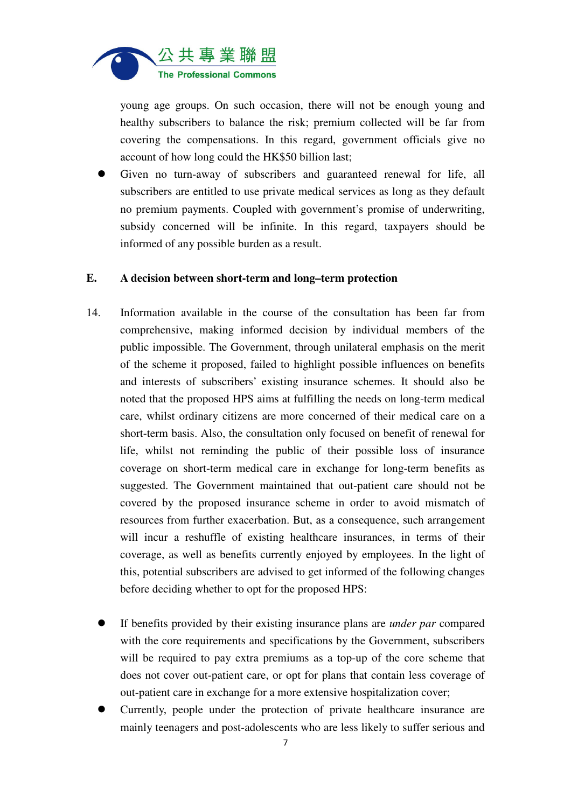

young age groups. On such occasion, there will not be enough young and healthy subscribers to balance the risk; premium collected will be far from covering the compensations. In this regard, government officials give no account of how long could the HK\$50 billion last;

 Given no turn-away of subscribers and guaranteed renewal for life, all subscribers are entitled to use private medical services as long as they default no premium payments. Coupled with government's promise of underwriting, subsidy concerned will be infinite. In this regard, taxpayers should be informed of any possible burden as a result.

#### **E. A decision between short-term and long–term protection**

- 14. Information available in the course of the consultation has been far from comprehensive, making informed decision by individual members of the public impossible. The Government, through unilateral emphasis on the merit of the scheme it proposed, failed to highlight possible influences on benefits and interests of subscribers' existing insurance schemes. It should also be noted that the proposed HPS aims at fulfilling the needs on long-term medical care, whilst ordinary citizens are more concerned of their medical care on a short-term basis. Also, the consultation only focused on benefit of renewal for life, whilst not reminding the public of their possible loss of insurance coverage on short-term medical care in exchange for long-term benefits as suggested. The Government maintained that out-patient care should not be covered by the proposed insurance scheme in order to avoid mismatch of resources from further exacerbation. But, as a consequence, such arrangement will incur a reshuffle of existing healthcare insurances, in terms of their coverage, as well as benefits currently enjoyed by employees. In the light of this, potential subscribers are advised to get informed of the following changes before deciding whether to opt for the proposed HPS:
	- If benefits provided by their existing insurance plans are *under par* compared with the core requirements and specifications by the Government, subscribers will be required to pay extra premiums as a top-up of the core scheme that does not cover out-patient care, or opt for plans that contain less coverage of out-patient care in exchange for a more extensive hospitalization cover;
	- Currently, people under the protection of private healthcare insurance are mainly teenagers and post-adolescents who are less likely to suffer serious and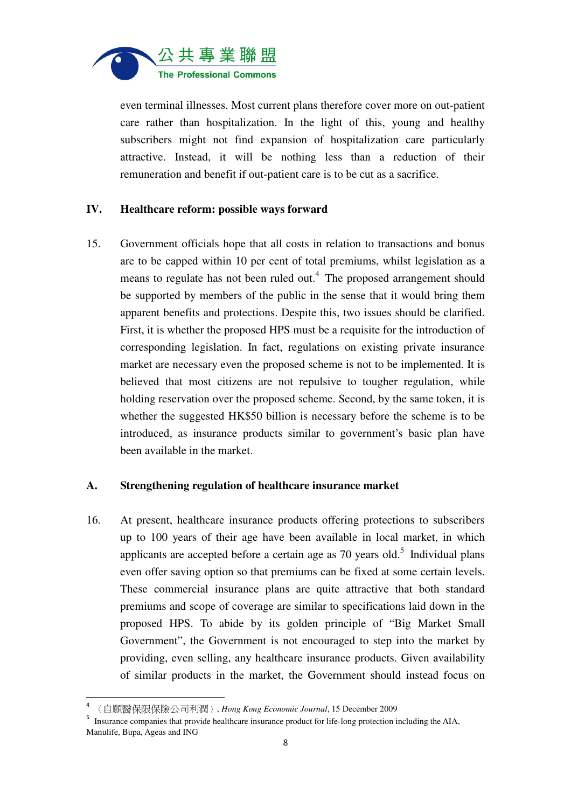

even terminal illnesses. Most current plans therefore cover more on out-patient care rather than hospitalization. In the light of this, young and healthy subscribers might not find expansion of hospitalization care particularly attractive. Instead, it will be nothing less than a reduction of their remuneration and benefit if out-patient care is to be cut as a sacrifice.

#### **IV. Healthcare reform: possible ways forward**

15. Government officials hope that all costs in relation to transactions and bonus are to be capped within 10 per cent of total premiums, whilst legislation as a means to regulate has not been ruled out.<sup>4</sup> The proposed arrangement should be supported by members of the public in the sense that it would bring them apparent benefits and protections. Despite this, two issues should be clarified. First, it is whether the proposed HPS must be a requisite for the introduction of corresponding legislation. In fact, regulations on existing private insurance market are necessary even the proposed scheme is not to be implemented. It is believed that most citizens are not repulsive to tougher regulation, while holding reservation over the proposed scheme. Second, by the same token, it is whether the suggested HK\$50 billion is necessary before the scheme is to be introduced, as insurance products similar to government's basic plan have been available in the market.

#### **A. Strengthening regulation of healthcare insurance market**

16. At present, healthcare insurance products offering protections to subscribers up to 100 years of their age have been available in local market, in which applicants are accepted before a certain age as  $70$  years old.<sup>5</sup> Individual plans even offer saving option so that premiums can be fixed at some certain levels. These commercial insurance plans are quite attractive that both standard premiums and scope of coverage are similar to specifications laid down in the proposed HPS. To abide by its golden principle of "Big Market Small Government", the Government is not encouraged to step into the market by providing, even selling, any healthcare insurance products. Given availability of similar products in the market, the Government should instead focus on

֬֒

<sup>4</sup> 〈自願醫保限保險公司利潤〉, *Hong Kong Economic Journal*, 15 December 2009

<sup>&</sup>lt;sup>5</sup> Insurance companies that provide healthcare insurance product for life-long protection including the AIA, Manulife, Bupa, Ageas and ING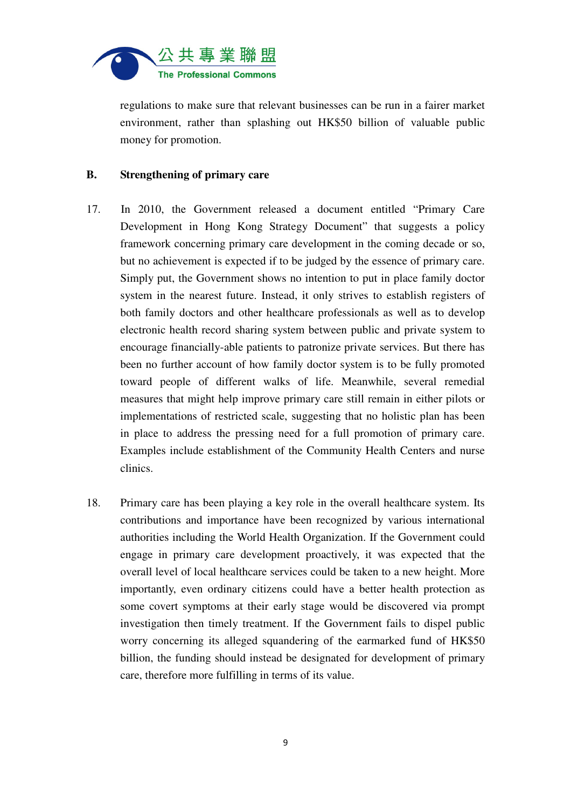

regulations to make sure that relevant businesses can be run in a fairer market environment, rather than splashing out HK\$50 billion of valuable public money for promotion.

#### **B. Strengthening of primary care**

- 17. In 2010, the Government released a document entitled "Primary Care Development in Hong Kong Strategy Document" that suggests a policy framework concerning primary care development in the coming decade or so, but no achievement is expected if to be judged by the essence of primary care. Simply put, the Government shows no intention to put in place family doctor system in the nearest future. Instead, it only strives to establish registers of both family doctors and other healthcare professionals as well as to develop electronic health record sharing system between public and private system to encourage financially-able patients to patronize private services. But there has been no further account of how family doctor system is to be fully promoted toward people of different walks of life. Meanwhile, several remedial measures that might help improve primary care still remain in either pilots or implementations of restricted scale, suggesting that no holistic plan has been in place to address the pressing need for a full promotion of primary care. Examples include establishment of the Community Health Centers and nurse clinics.
- 18. Primary care has been playing a key role in the overall healthcare system. Its contributions and importance have been recognized by various international authorities including the World Health Organization. If the Government could engage in primary care development proactively, it was expected that the overall level of local healthcare services could be taken to a new height. More importantly, even ordinary citizens could have a better health protection as some covert symptoms at their early stage would be discovered via prompt investigation then timely treatment. If the Government fails to dispel public worry concerning its alleged squandering of the earmarked fund of HK\$50 billion, the funding should instead be designated for development of primary care, therefore more fulfilling in terms of its value.